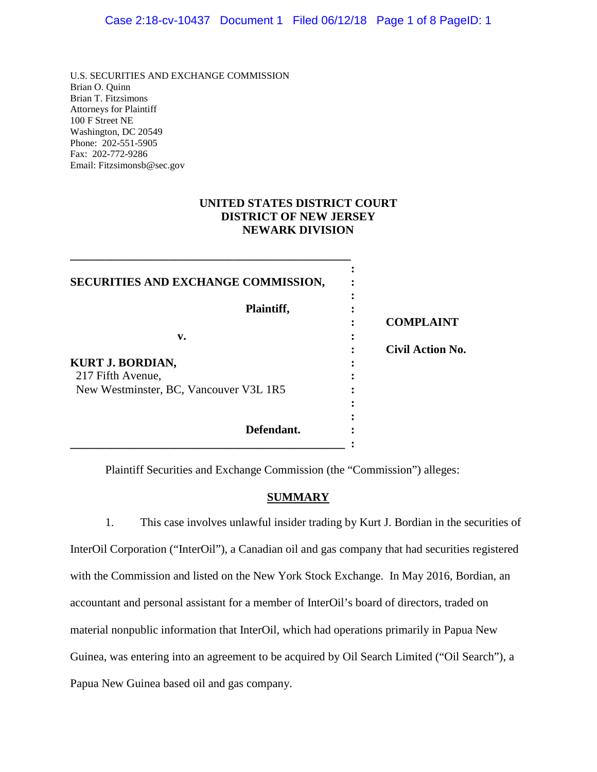U.S. SECURITIES AND EXCHANGE COMMISSION Brian O. Quinn Brian T. Fitzsimons Attorneys for Plaintiff 100 F Street NE Washington, DC 20549 Phone: 202-551-5905 Fax: 202-772-9286 Email: Fitzsimonsb@sec.gov

**\_\_\_\_\_\_\_\_\_\_\_\_\_\_\_\_\_\_\_\_\_\_\_\_\_\_\_\_\_\_\_\_\_\_\_\_\_\_\_\_\_\_\_\_\_\_\_\_**

### **UNITED STATES DISTRICT COURT DISTRICT OF NEW JERSEY NEWARK DIVISION**

| SECURITIES AND EXCHANGE COMMISSION,                         |                         |
|-------------------------------------------------------------|-------------------------|
| Plaintiff,                                                  | <b>COMPLAINT</b>        |
| v.                                                          | <b>Civil Action No.</b> |
| <b>KURT J. BORDIAN,</b>                                     |                         |
| 217 Fifth Avenue,<br>New Westminster, BC, Vancouver V3L 1R5 |                         |
| Defendant.                                                  |                         |

Plaintiff Securities and Exchange Commission (the "Commission") alleges:

# **SUMMARY**

1. This case involves unlawful insider trading by Kurt J. Bordian in the securities of InterOil Corporation ("InterOil"), a Canadian oil and gas company that had securities registered with the Commission and listed on the New York Stock Exchange. In May 2016, Bordian, an accountant and personal assistant for a member of InterOil's board of directors, traded on material nonpublic information that InterOil, which had operations primarily in Papua New Guinea, was entering into an agreement to be acquired by Oil Search Limited ("Oil Search"), a Papua New Guinea based oil and gas company.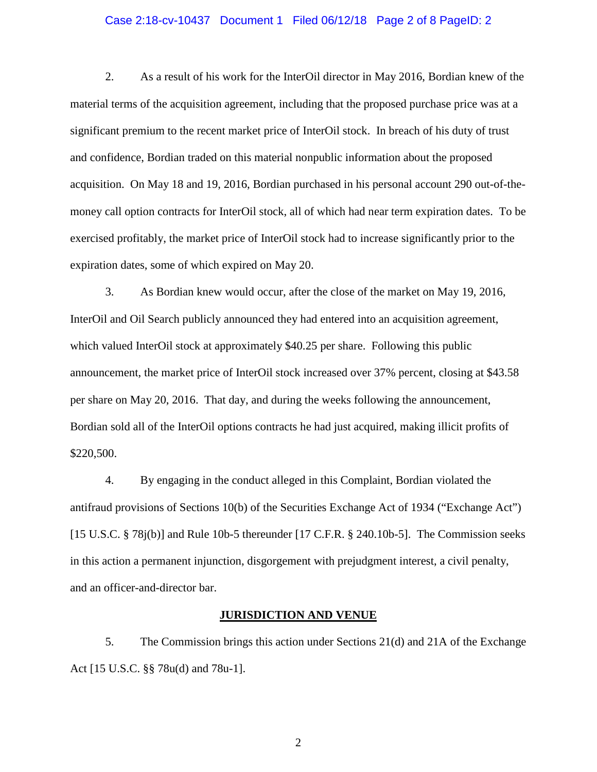### Case 2:18-cv-10437 Document 1 Filed 06/12/18 Page 2 of 8 PageID: 2

2. As a result of his work for the InterOil director in May 2016, Bordian knew of the material terms of the acquisition agreement, including that the proposed purchase price was at a significant premium to the recent market price of InterOil stock. In breach of his duty of trust and confidence, Bordian traded on this material nonpublic information about the proposed acquisition. On May 18 and 19, 2016, Bordian purchased in his personal account 290 out-of-themoney call option contracts for InterOil stock, all of which had near term expiration dates. To be exercised profitably, the market price of InterOil stock had to increase significantly prior to the expiration dates, some of which expired on May 20.

3. As Bordian knew would occur, after the close of the market on May 19, 2016, InterOil and Oil Search publicly announced they had entered into an acquisition agreement, which valued InterOil stock at approximately \$40.25 per share. Following this public announcement, the market price of InterOil stock increased over 37% percent, closing at \$43.58 per share on May 20, 2016. That day, and during the weeks following the announcement, Bordian sold all of the InterOil options contracts he had just acquired, making illicit profits of \$220,500.

4. By engaging in the conduct alleged in this Complaint, Bordian violated the antifraud provisions of Sections 10(b) of the Securities Exchange Act of 1934 ("Exchange Act") [15 U.S.C. § 78j(b)] and Rule 10b-5 thereunder [17 C.F.R. § 240.10b-5]. The Commission seeks in this action a permanent injunction, disgorgement with prejudgment interest, a civil penalty, and an officer-and-director bar.

### **JURISDICTION AND VENUE**

5. The Commission brings this action under Sections 21(d) and 21A of the Exchange Act [15 U.S.C. §§ 78u(d) and 78u-1].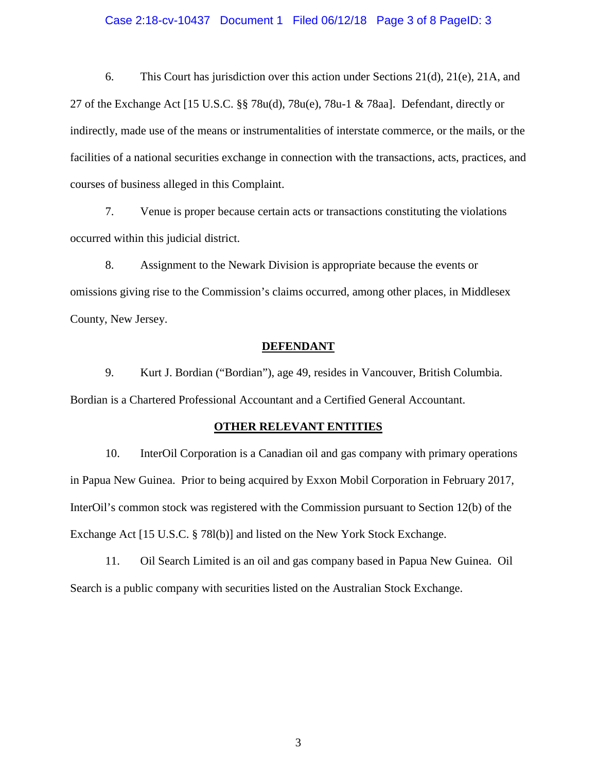### Case 2:18-cv-10437 Document 1 Filed 06/12/18 Page 3 of 8 PageID: 3

6. This Court has jurisdiction over this action under Sections 21(d), 21(e), 21A, and 27 of the Exchange Act [15 U.S.C. §§ 78u(d), 78u(e), 78u-1 & 78aa]. Defendant, directly or indirectly, made use of the means or instrumentalities of interstate commerce, or the mails, or the facilities of a national securities exchange in connection with the transactions, acts, practices, and courses of business alleged in this Complaint.

7. Venue is proper because certain acts or transactions constituting the violations occurred within this judicial district.

8. Assignment to the Newark Division is appropriate because the events or omissions giving rise to the Commission's claims occurred, among other places, in Middlesex County, New Jersey.

### **DEFENDANT**

9. Kurt J. Bordian ("Bordian"), age 49, resides in Vancouver, British Columbia. Bordian is a Chartered Professional Accountant and a Certified General Accountant.

#### **OTHER RELEVANT ENTITIES**

10. InterOil Corporation is a Canadian oil and gas company with primary operations in Papua New Guinea. Prior to being acquired by Exxon Mobil Corporation in February 2017, InterOil's common stock was registered with the Commission pursuant to Section 12(b) of the Exchange Act [15 U.S.C. § 78l(b)] and listed on the New York Stock Exchange.

11. Oil Search Limited is an oil and gas company based in Papua New Guinea. Oil Search is a public company with securities listed on the Australian Stock Exchange.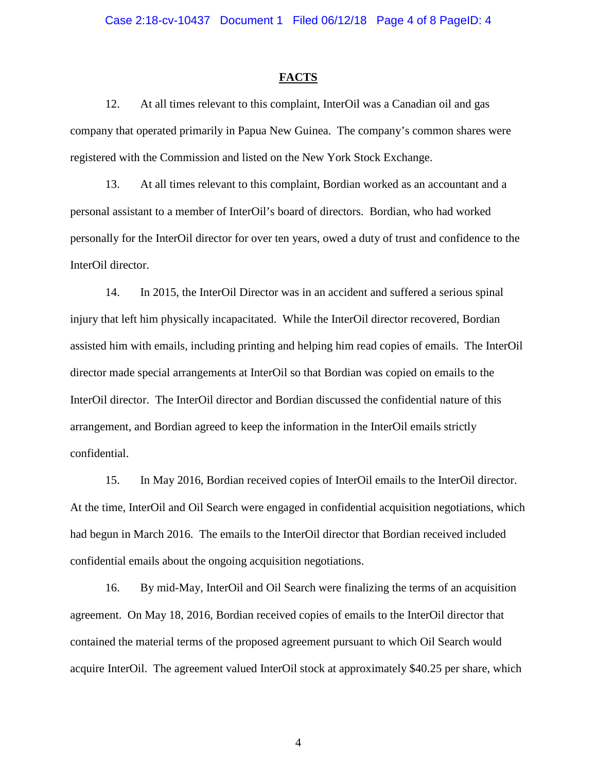#### **FACTS**

12. At all times relevant to this complaint, InterOil was a Canadian oil and gas company that operated primarily in Papua New Guinea. The company's common shares were registered with the Commission and listed on the New York Stock Exchange.

13. At all times relevant to this complaint, Bordian worked as an accountant and a personal assistant to a member of InterOil's board of directors. Bordian, who had worked personally for the InterOil director for over ten years, owed a duty of trust and confidence to the InterOil director.

14. In 2015, the InterOil Director was in an accident and suffered a serious spinal injury that left him physically incapacitated. While the InterOil director recovered, Bordian assisted him with emails, including printing and helping him read copies of emails. The InterOil director made special arrangements at InterOil so that Bordian was copied on emails to the InterOil director. The InterOil director and Bordian discussed the confidential nature of this arrangement, and Bordian agreed to keep the information in the InterOil emails strictly confidential.

15. In May 2016, Bordian received copies of InterOil emails to the InterOil director. At the time, InterOil and Oil Search were engaged in confidential acquisition negotiations, which had begun in March 2016. The emails to the InterOil director that Bordian received included confidential emails about the ongoing acquisition negotiations.

16. By mid-May, InterOil and Oil Search were finalizing the terms of an acquisition agreement. On May 18, 2016, Bordian received copies of emails to the InterOil director that contained the material terms of the proposed agreement pursuant to which Oil Search would acquire InterOil. The agreement valued InterOil stock at approximately \$40.25 per share, which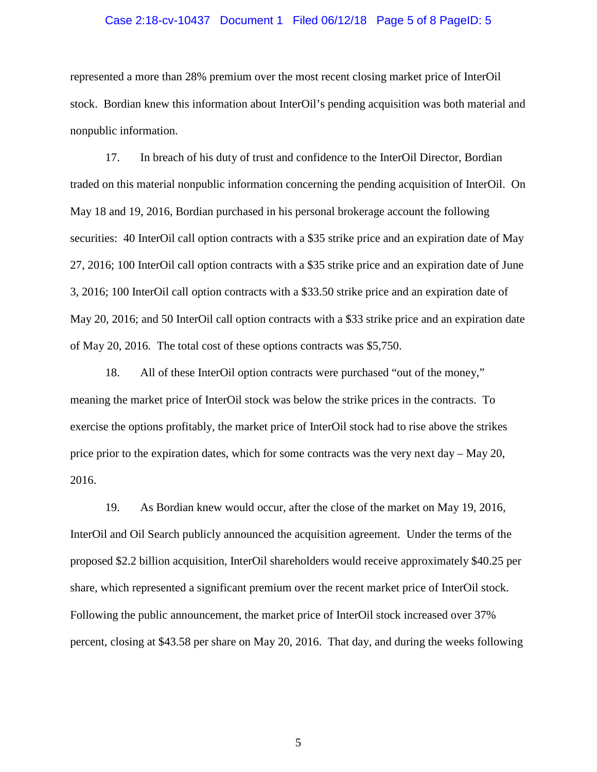### Case 2:18-cv-10437 Document 1 Filed 06/12/18 Page 5 of 8 PageID: 5

represented a more than 28% premium over the most recent closing market price of InterOil stock. Bordian knew this information about InterOil's pending acquisition was both material and nonpublic information.

17. In breach of his duty of trust and confidence to the InterOil Director, Bordian traded on this material nonpublic information concerning the pending acquisition of InterOil. On May 18 and 19, 2016, Bordian purchased in his personal brokerage account the following securities: 40 InterOil call option contracts with a \$35 strike price and an expiration date of May 27, 2016; 100 InterOil call option contracts with a \$35 strike price and an expiration date of June 3, 2016; 100 InterOil call option contracts with a \$33.50 strike price and an expiration date of May 20, 2016; and 50 InterOil call option contracts with a \$33 strike price and an expiration date of May 20, 2016. The total cost of these options contracts was \$5,750.

18. All of these InterOil option contracts were purchased "out of the money," meaning the market price of InterOil stock was below the strike prices in the contracts. To exercise the options profitably, the market price of InterOil stock had to rise above the strikes price prior to the expiration dates, which for some contracts was the very next day  $-$  May 20, 2016.

19. As Bordian knew would occur, after the close of the market on May 19, 2016, InterOil and Oil Search publicly announced the acquisition agreement. Under the terms of the proposed \$2.2 billion acquisition, InterOil shareholders would receive approximately \$40.25 per share, which represented a significant premium over the recent market price of InterOil stock. Following the public announcement, the market price of InterOil stock increased over 37% percent, closing at \$43.58 per share on May 20, 2016. That day, and during the weeks following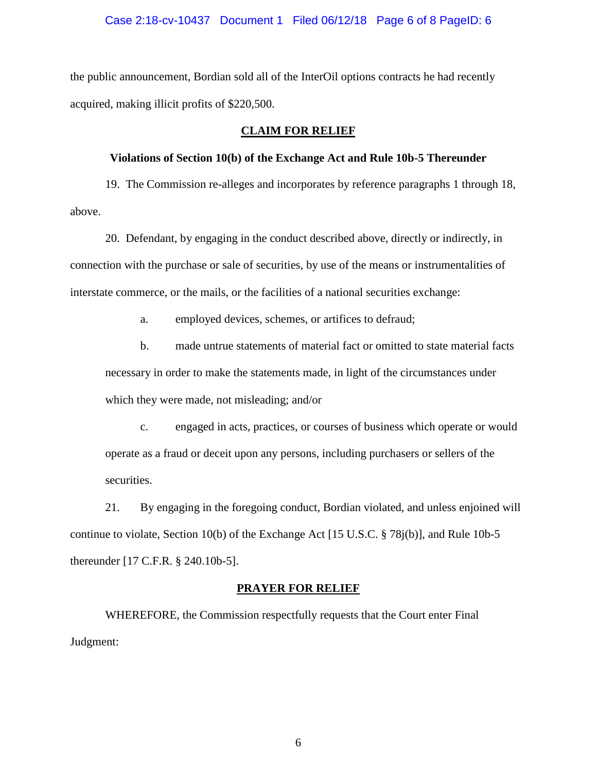### Case 2:18-cv-10437 Document 1 Filed 06/12/18 Page 6 of 8 PageID: 6

the public announcement, Bordian sold all of the InterOil options contracts he had recently acquired, making illicit profits of \$220,500.

### **CLAIM FOR RELIEF**

### **Violations of Section 10(b) of the Exchange Act and Rule 10b-5 Thereunder**

19. The Commission re-alleges and incorporates by reference paragraphs 1 through 18, above.

20. Defendant, by engaging in the conduct described above, directly or indirectly, in connection with the purchase or sale of securities, by use of the means or instrumentalities of interstate commerce, or the mails, or the facilities of a national securities exchange:

a. employed devices, schemes, or artifices to defraud;

b. made untrue statements of material fact or omitted to state material facts necessary in order to make the statements made, in light of the circumstances under which they were made, not misleading; and/or

c. engaged in acts, practices, or courses of business which operate or would operate as a fraud or deceit upon any persons, including purchasers or sellers of the securities.

21. By engaging in the foregoing conduct, Bordian violated, and unless enjoined will continue to violate, Section 10(b) of the Exchange Act [15 U.S.C. § 78j(b)], and Rule 10b-5 thereunder [17 C.F.R. § 240.10b-5].

### **PRAYER FOR RELIEF**

WHEREFORE, the Commission respectfully requests that the Court enter Final Judgment: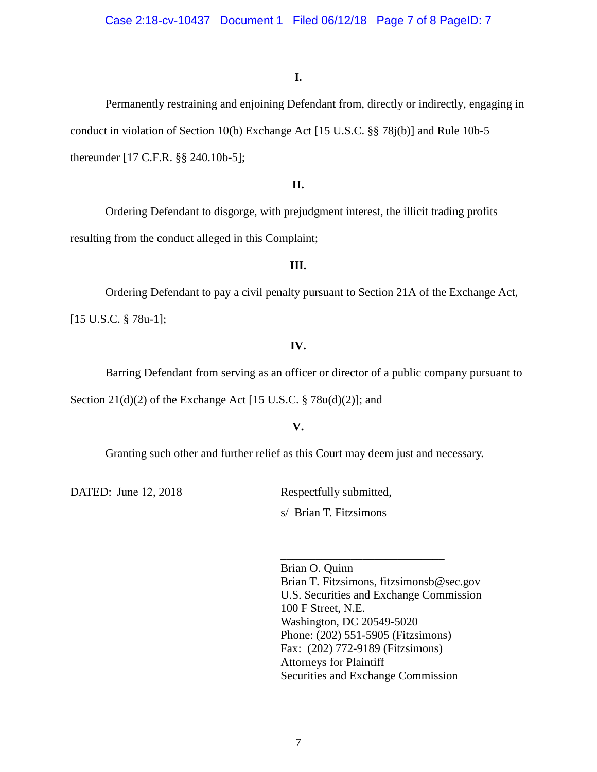# **I.**

Permanently restraining and enjoining Defendant from, directly or indirectly, engaging in conduct in violation of Section 10(b) Exchange Act [15 U.S.C. §§ 78j(b)] and Rule 10b-5 thereunder [17 C.F.R. §§ 240.10b-5];

### **II.**

Ordering Defendant to disgorge, with prejudgment interest, the illicit trading profits resulting from the conduct alleged in this Complaint;

# **III.**

Ordering Defendant to pay a civil penalty pursuant to Section 21A of the Exchange Act, [15 U.S.C. § 78u-1];

### **IV.**

Barring Defendant from serving as an officer or director of a public company pursuant to

Section  $21(d)(2)$  of the Exchange Act [15 U.S.C. § 78u(d)(2)]; and

# **V.**

Granting such other and further relief as this Court may deem just and necessary.

DATED: June 12, 2018 Respectfully submitted,

s/ Brian T. Fitzsimons

Brian O. Quinn Brian T. Fitzsimons, fitzsimonsb@sec.gov U.S. Securities and Exchange Commission 100 F Street, N.E. Washington, DC 20549-5020 Phone: (202) 551-5905 (Fitzsimons) Fax: (202) 772-9189 (Fitzsimons) Attorneys for Plaintiff Securities and Exchange Commission

\_\_\_\_\_\_\_\_\_\_\_\_\_\_\_\_\_\_\_\_\_\_\_\_\_\_\_\_